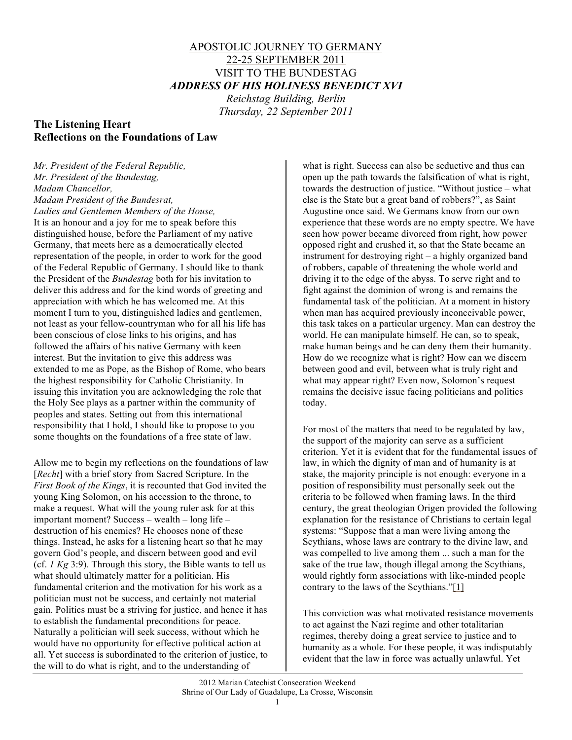## APOSTOLIC JOURNEY TO GERMANY 22-25 SEPTEMBER 2011 VISIT TO THE BUNDESTAG *ADDRESS OF HIS HOLINESS BENEDICT XVI Reichstag Building, Berlin*

*Thursday, 22 September 2011*

## **The Listening Heart Reflections on the Foundations of Law**

*Mr. President of the Federal Republic, Mr. President of the Bundestag, Madam Chancellor, Madam President of the Bundesrat, Ladies and Gentlemen Members of the House,* It is an honour and a joy for me to speak before this distinguished house, before the Parliament of my native Germany, that meets here as a democratically elected representation of the people, in order to work for the good of the Federal Republic of Germany. I should like to thank the President of the *Bundestag* both for his invitation to deliver this address and for the kind words of greeting and appreciation with which he has welcomed me. At this moment I turn to you, distinguished ladies and gentlemen, not least as your fellow-countryman who for all his life has been conscious of close links to his origins, and has followed the affairs of his native Germany with keen interest. But the invitation to give this address was extended to me as Pope, as the Bishop of Rome, who bears the highest responsibility for Catholic Christianity. In issuing this invitation you are acknowledging the role that the Holy See plays as a partner within the community of peoples and states. Setting out from this international responsibility that I hold, I should like to propose to you some thoughts on the foundations of a free state of law.

Allow me to begin my reflections on the foundations of law [*Recht*] with a brief story from Sacred Scripture. In the *First Book of the Kings*, it is recounted that God invited the young King Solomon, on his accession to the throne, to make a request. What will the young ruler ask for at this important moment? Success – wealth – long life – destruction of his enemies? He chooses none of these things. Instead, he asks for a listening heart so that he may govern God's people, and discern between good and evil (cf. *1 Kg* 3:9). Through this story, the Bible wants to tell us what should ultimately matter for a politician. His fundamental criterion and the motivation for his work as a politician must not be success, and certainly not material gain. Politics must be a striving for justice, and hence it has to establish the fundamental preconditions for peace. Naturally a politician will seek success, without which he would have no opportunity for effective political action at all. Yet success is subordinated to the criterion of justice, to the will to do what is right, and to the understanding of

what is right. Success can also be seductive and thus can open up the path towards the falsification of what is right, towards the destruction of justice. "Without justice – what else is the State but a great band of robbers?", as Saint Augustine once said. We Germans know from our own experience that these words are no empty spectre. We have seen how power became divorced from right, how power opposed right and crushed it, so that the State became an instrument for destroying right – a highly organized band of robbers, capable of threatening the whole world and driving it to the edge of the abyss. To serve right and to fight against the dominion of wrong is and remains the fundamental task of the politician. At a moment in history when man has acquired previously inconceivable power, this task takes on a particular urgency. Man can destroy the world. He can manipulate himself. He can, so to speak, make human beings and he can deny them their humanity. How do we recognize what is right? How can we discern between good and evil, between what is truly right and what may appear right? Even now, Solomon's request remains the decisive issue facing politicians and politics today.

For most of the matters that need to be regulated by law, the support of the majority can serve as a sufficient criterion. Yet it is evident that for the fundamental issues of law, in which the dignity of man and of humanity is at stake, the majority principle is not enough: everyone in a position of responsibility must personally seek out the criteria to be followed when framing laws. In the third century, the great theologian Origen provided the following explanation for the resistance of Christians to certain legal systems: "Suppose that a man were living among the Scythians, whose laws are contrary to the divine law, and was compelled to live among them ... such a man for the sake of the true law, though illegal among the Scythians, would rightly form associations with like-minded people contrary to the laws of the Scythians."[1]

This conviction was what motivated resistance movements to act against the Nazi regime and other totalitarian regimes, thereby doing a great service to justice and to humanity as a whole. For these people, it was indisputably evident that the law in force was actually unlawful. Yet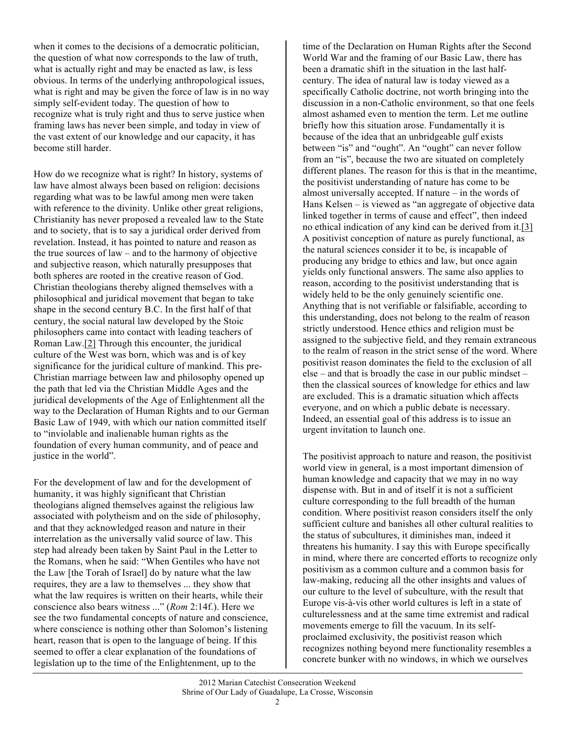when it comes to the decisions of a democratic politician, the question of what now corresponds to the law of truth, what is actually right and may be enacted as law, is less obvious. In terms of the underlying anthropological issues, what is right and may be given the force of law is in no way simply self-evident today. The question of how to recognize what is truly right and thus to serve justice when framing laws has never been simple, and today in view of the vast extent of our knowledge and our capacity, it has become still harder.

How do we recognize what is right? In history, systems of law have almost always been based on religion: decisions regarding what was to be lawful among men were taken with reference to the divinity. Unlike other great religions, Christianity has never proposed a revealed law to the State and to society, that is to say a juridical order derived from revelation. Instead, it has pointed to nature and reason as the true sources of law – and to the harmony of objective and subjective reason, which naturally presupposes that both spheres are rooted in the creative reason of God. Christian theologians thereby aligned themselves with a philosophical and juridical movement that began to take shape in the second century B.C. In the first half of that century, the social natural law developed by the Stoic philosophers came into contact with leading teachers of Roman Law.[2] Through this encounter, the juridical culture of the West was born, which was and is of key significance for the juridical culture of mankind. This pre-Christian marriage between law and philosophy opened up the path that led via the Christian Middle Ages and the juridical developments of the Age of Enlightenment all the way to the Declaration of Human Rights and to our German Basic Law of 1949, with which our nation committed itself to "inviolable and inalienable human rights as the foundation of every human community, and of peace and justice in the world".

For the development of law and for the development of humanity, it was highly significant that Christian theologians aligned themselves against the religious law associated with polytheism and on the side of philosophy, and that they acknowledged reason and nature in their interrelation as the universally valid source of law. This step had already been taken by Saint Paul in the Letter to the Romans, when he said: "When Gentiles who have not the Law [the Torah of Israel] do by nature what the law requires, they are a law to themselves ... they show that what the law requires is written on their hearts, while their conscience also bears witness ..." (*Rom* 2:14f.). Here we see the two fundamental concepts of nature and conscience, where conscience is nothing other than Solomon's listening heart, reason that is open to the language of being. If this seemed to offer a clear explanation of the foundations of legislation up to the time of the Enlightenment, up to the

time of the Declaration on Human Rights after the Second World War and the framing of our Basic Law, there has been a dramatic shift in the situation in the last halfcentury. The idea of natural law is today viewed as a specifically Catholic doctrine, not worth bringing into the discussion in a non-Catholic environment, so that one feels almost ashamed even to mention the term. Let me outline briefly how this situation arose. Fundamentally it is because of the idea that an unbridgeable gulf exists between "is" and "ought". An "ought" can never follow from an "is", because the two are situated on completely different planes. The reason for this is that in the meantime, the positivist understanding of nature has come to be almost universally accepted. If nature – in the words of Hans Kelsen – is viewed as "an aggregate of objective data linked together in terms of cause and effect", then indeed no ethical indication of any kind can be derived from it.[3] A positivist conception of nature as purely functional, as the natural sciences consider it to be, is incapable of producing any bridge to ethics and law, but once again yields only functional answers. The same also applies to reason, according to the positivist understanding that is widely held to be the only genuinely scientific one. Anything that is not verifiable or falsifiable, according to this understanding, does not belong to the realm of reason strictly understood. Hence ethics and religion must be assigned to the subjective field, and they remain extraneous to the realm of reason in the strict sense of the word. Where positivist reason dominates the field to the exclusion of all else – and that is broadly the case in our public mindset – then the classical sources of knowledge for ethics and law are excluded. This is a dramatic situation which affects everyone, and on which a public debate is necessary. Indeed, an essential goal of this address is to issue an urgent invitation to launch one.

The positivist approach to nature and reason, the positivist world view in general, is a most important dimension of human knowledge and capacity that we may in no way dispense with. But in and of itself it is not a sufficient culture corresponding to the full breadth of the human condition. Where positivist reason considers itself the only sufficient culture and banishes all other cultural realities to the status of subcultures, it diminishes man, indeed it threatens his humanity. I say this with Europe specifically in mind, where there are concerted efforts to recognize only positivism as a common culture and a common basis for law-making, reducing all the other insights and values of our culture to the level of subculture, with the result that Europe vis-à-vis other world cultures is left in a state of culturelessness and at the same time extremist and radical movements emerge to fill the vacuum. In its selfproclaimed exclusivity, the positivist reason which recognizes nothing beyond mere functionality resembles a concrete bunker with no windows, in which we ourselves